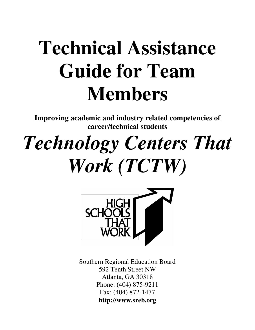# **Technical Assistance Guide for Team Members**

**Improving academic and industry related competencies of career/technical students** 

# *Technology Centers That Work (TCTW)*



Southern Regional Education Board 592 Tenth Street NW Atlanta, GA 30318 Phone: (404) 875-9211 Fax: (404) 872-1477 **http://www.sreb.org**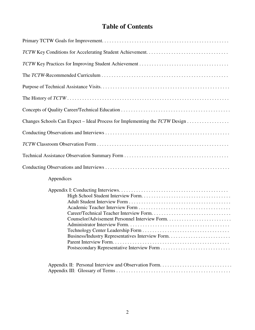# **Table of Contents**

| Changes Schools Can Expect – Ideal Process for Implementing the $TCTW$ Design $\ldots$ |
|----------------------------------------------------------------------------------------|
|                                                                                        |
|                                                                                        |
|                                                                                        |
|                                                                                        |
| Appendices                                                                             |
| Administrator Interview Form                                                           |
| Appendix II: Personal Interview and Observation Form                                   |

Appendix III: Glossary of Terms . . . . . . . . . . . . . . . . . . . . . . . . . . . . . . . . . . . . . . . . . . . . . .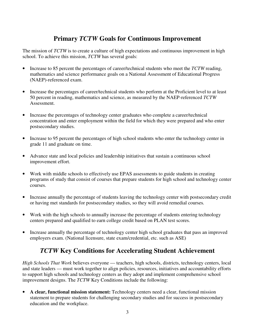# **Primary** *TCTW* **Goals for Continuous Improvement**

The mission of *TCTW* is to create a culture of high expectations and continuous improvement in high school. To achieve this mission, *TCTW* has several goals:

- Increase to 85 percent the percentages of career/technical students who meet the *TCTW* reading, mathematics and science performance goals on a National Assessment of Educational Progress (NAEP)-referenced exam.
- Increase the percentages of career/technical students who perform at the Proficient level to at least 50 percent in reading, mathematics and science, as measured by the NAEP-referenced *TCTW*  Assessment.
- Increase the percentages of technology center graduates who complete a career/technical concentration and enter employment within the field for which they were prepared and who enter postsecondary studies.
- Increase to 95 percent the percentages of high school students who enter the technology center in grade 11 and graduate on time.
- Advance state and local policies and leadership initiatives that sustain a continuous school improvement effort.
- Work with middle schools to effectively use EPAS assessments to guide students in creating programs of study that consist of courses that prepare students for high school and technology center courses.
- Increase annually the percentage of students leaving the technology center with postsecondary credit or having met standards for postsecondary studies, so they will avoid remedial courses.
- Work with the high schools to annually increase the percentage of students entering technology centers prepared and qualified to earn college credit based on PLAN test scores.
- Increase annually the percentage of technology center high school graduates that pass an improved employers exam. (National licensure, state exam/credential, etc. such as ASE)

# *TCTW* **Key Conditions for Accelerating Student Achievement**

*High Schools That Work* believes everyone — teachers, high schools, districts, technology centers, local and state leaders — must work together to align policies, resources, initiatives and accountability efforts to support high schools and technology centers as they adopt and implement comprehensive school improvement designs. The *TCTW* Key Conditions include the following:

• **A clear, functional mission statement:** Technology centers need a clear, functional mission statement to prepare students for challenging secondary studies and for success in postsecondary education and the workplace.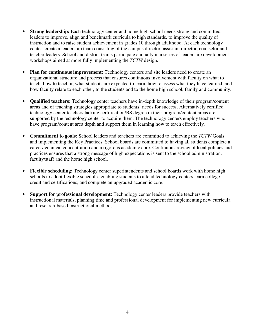- **Strong leadership:** Each technology center and home high school needs strong and committed leaders to improve, align and benchmark curricula to high standards, to improve the quality of instruction and to raise student achievement in grades 10 through adulthood. At each technology center, create a leadership team consisting of the campus director, assistant director, counselor and teacher leaders. School and district teams participate annually in a series of leadership development workshops aimed at more fully implementing the *TCTW* design.
- **Plan for continuous improvement:** Technology centers and site leaders need to create an organizational structure and process that ensures continuous involvement with faculty on what to teach, how to teach it, what students are expected to learn, how to assess what they have learned, and how faculty relate to each other, to the students and to the home high school, family and community.
- **Qualified teachers:** Technology center teachers have in-depth knowledge of their program/content areas and of teaching strategies appropriate to students' needs for success. Alternatively certified technology center teachers lacking certification/BS degree in their program/content areas are supported by the technology center to acquire them. The technology centers employ teachers who have program/content area depth and support them in learning how to teach effectively.
- **Commitment to goals:** School leaders and teachers are committed to achieving the *TCTW* Goals and implementing the Key Practices. School boards are committed to having all students complete a career/technical concentration and a rigorous academic core. Continuous review of local policies and practices ensures that a strong message of high expectations is sent to the school administration, faculty/staff and the home high school.
- **Flexible scheduling:** Technology center superintendents and school boards work with home high schools to adopt flexible schedules enabling students to attend technology centers, earn college credit and certifications, and complete an upgraded academic core.
- **Support for professional development:** Technology center leaders provide teachers with instructional materials, planning time and professional development for implementing new curricula and research-based instructional methods.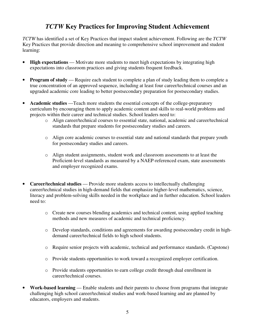## *TCTW* **Key Practices for Improving Student Achievement**

*TCTW* has identified a set of Key Practices that impact student achievement. Following are the *TCTW*  Key Practices that provide direction and meaning to comprehensive school improvement and student learning:

- **High expectations** Motivate more students to meet high expectations by integrating high expectations into classroom practices and giving students frequent feedback.
- **Program of study** Require each student to complete a plan of study leading them to complete a true concentration of an approved sequence, including at least four career/technical courses and an upgraded academic core leading to better postsecondary preparation for postsecondary studies.
- **Academic studies** Teach more students the essential concepts of the college-preparatory curriculum by encouraging them to apply academic content and skills to real-world problems and projects within their career and technical studies. School leaders need to:
	- o Align career/technical courses to essential state, national, academic and career/technical standards that prepare students for postsecondary studies and careers.
	- o Align core academic courses to essential state and national standards that prepare youth for postsecondary studies and careers.
	- o Align student assignments, student work and classroom assessments to at least the Proficient-level standards as measured by a NAEP-referenced exam, state assessments and employer recognized exams.
- **Career/technical studies**  Provide more students access to intellectually challenging career/technical studies in high-demand fields that emphasize higher-level mathematics, science, literacy and problem-solving skills needed in the workplace and in further education. School leaders need to:
	- o Create new courses blending academics and technical content, using applied teaching methods and new measures of academic and technical proficiency.
	- o Develop standards, conditions and agreements for awarding postsecondary credit in highdemand career/technical fields to high school students.
	- o Require senior projects with academic, technical and performance standards. (Capstone)
	- o Provide students opportunities to work toward a recognized employer certification.
	- o Provide students opportunities to earn college credit through dual enrollment in career/technical courses.
- **Work-based learning**  Enable students and their parents to choose from programs that integrate challenging high school career/technical studies and work-based learning and are planned by educators, employers and students.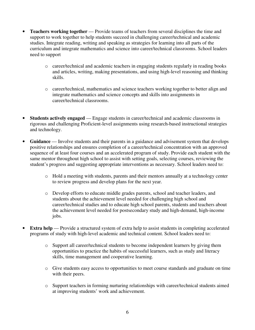- **Teachers working together** Provide teams of teachers from several disciplines the time and support to work together to help students succeed in challenging career/technical and academic studies. Integrate reading, writing and speaking as strategies for learning into all parts of the curriculum and integrate mathematics and science into career/technical classrooms. School leaders need to support
	- o career/technical and academic teachers in engaging students regularly in reading books and articles, writing, making presentations, and using high-level reasoning and thinking skills.
	- o career/technical, mathematics and science teachers working together to better align and integrate mathematics and science concepts and skills into assignments in career/technical classrooms.
- **Students actively engaged**  Engage students in career/technical and academic classrooms in rigorous and challenging Proficient-level assignments using research-based instructional strategies and technology.
- Guidance Involve students and their parents in a guidance and advisement system that develops positive relationships and ensures completion of a career/technical concentration with an approved sequence of at least four courses and an accelerated program of study. Provide each student with the same mentor throughout high school to assist with setting goals, selecting courses, reviewing the student's progress and suggesting appropriate interventions as necessary. School leaders need to:
	- o Hold a meeting with students, parents and their mentors annually at a technology center to review progress and develop plans for the next year.
	- o Develop efforts to educate middle grades parents, school and teacher leaders, and students about the achievement level needed for challenging high school and career/technical studies and to educate high school parents, students and teachers about the achievement level needed for postsecondary study and high-demand, high-income jobs.
- **Extra help** Provide a structured system of extra help to assist students in completing accelerated programs of study with high-level academic and technical content. School leaders need to:
	- o Support all career/technical students to become independent learners by giving them opportunities to practice the habits of successful learners, such as study and literacy skills, time management and cooperative learning.
	- o Give students easy access to opportunities to meet course standards and graduate on time with their peers.
	- o Support teachers in forming nurturing relationships with career/technical students aimed at improving students' work and achievement.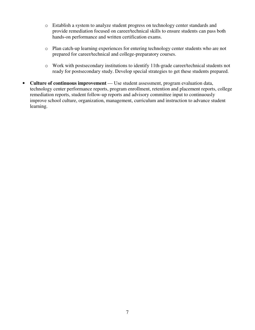- o Establish a system to analyze student progress on technology center standards and provide remediation focused on career/technical skills to ensure students can pass both hands-on performance and written certification exams.
- o Plan catch-up learning experiences for entering technology center students who are not prepared for career/technical and college-preparatory courses.
- o Work with postsecondary institutions to identify 11th-grade career/technical students not ready for postsecondary study. Develop special strategies to get these students prepared.
- Culture of continuous improvement Use student assessment, program evaluation data, technology center performance reports, program enrollment, retention and placement reports, college remediation reports, student follow-up reports and advisory committee input to continuously improve school culture, organization, management, curriculum and instruction to advance student learning.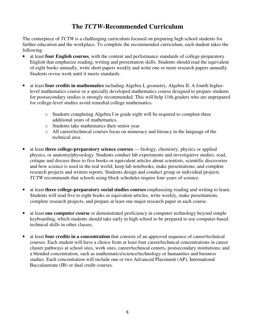## **The** *TCTW***-Recommended Curriculum**

The centerpiece of *TCTW* is a challenging curriculum focused on preparing high school students for further education and the workplace. To complete the recommended curriculum, each student takes the following:

- at least **four English courses**, with the content and performance standards of college-preparatory English that emphasize reading, writing and presentation skills. Students should read the equivalent of eight books annually, write short papers weekly and write one or more research papers annually. Students revise work until it meets standards.
- at least **four credits in mathematics** including Algebra I, geometry, Algebra II. A fourth higherlevel mathematics course or a specially developed mathematics course designed to prepare students for postsecondary studies is strongly recommended. This will help 11th-graders who are unprepared for college-level studies avoid remedial college mathematics.
	- o Students completing Algebra I in grade eight will be required to complete three additional years of mathematics.
	- o Students take mathematics their senior year.
	- o All career/technical courses focus on numeracy and literacy in the language of the technical area.
- at least **three college-preparatory science courses** biology, chemistry, physics or applied physics, or anatomy/physiology. Students conduct lab experiments and investigative studies; read, critique and discuss three to five books or equivalent articles about scientists, scientific discoveries and how science is used in the real world; keep lab notebooks; make presentations; and complete research projects and written reports. Students design and conduct group or individual projects. *TCTW* recommends that schools using block schedules require four years of science.
- at least **three college-preparatory social studies courses** emphasizing reading and writing to learn. Students will read five to eight books or equivalent articles, write weekly, make presentations, complete research projects, and prepare at least one major research paper in each course.
- at least **one computer course** or demonstrated proficiency in computer technology beyond simple keyboarding, which students should take early in high school to be prepared to use computer-based technical skills in other classes.
- at least **four credits in a concentration** that consists of an approved sequence of career/technical courses. Each student will have a choice from at least four career/technical concentrations in career cluster pathways at school sites, work sites, career/technical centers, postsecondary institutions; and a blended concentration, such as mathematics/science/technology or humanities and business studies. Each concentration will include one or two Advanced Placement (AP), International Baccalaureate (IB) or dual credit courses.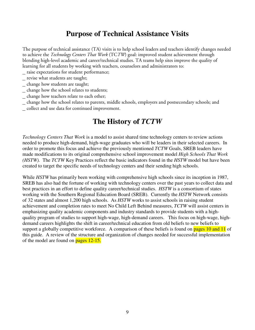# **Purpose of Technical Assistance Visits**

The purpose of technical assistance (TA) visits is to help school leaders and teachers identify changes needed to achieve the *Technology Centers That Work* (TC*TW*) goal: improved student achievement through blending high-level academic and career/technical studies. TA teams help sites improve the quality of learning for all students by working with teachers, counselors and administrators to:

- \_ raise expectations for student performance;
- \_ revise what students are taught;
- \_ change how students are taught;
- \_ change how the school relates to students;
- \_ change how teachers relate to each other;
- \_ change how the school relates to parents, middle schools, employers and postsecondary schools; and
- \_ collect and use data for continued improvement.

# **The History of** *TCTW*

*Technology Centers That Work* is a model to assist shared time technology centers to review actions needed to produce high-demand, high-wage graduates who will be leaders in their selected careers. In order to promote this focus and achieve the previously mentioned *TCTW* Goals, SREB leaders have made modifications to its original comprehensive school improvement model *High Schools That Work (HSTW).* The *TCTW* Key Practices reflect the basic indicators found in the *HSTW* model but have been created to target the specific needs of technology centers and their sending high schools.

While *HSTW* has primarily been working with comprehensive high schools since its inception in 1987, SREB has also had the fortune of working with technology centers over the past years to collect data and best practices in an effort to define quality career/technical studies. *HSTW* is a consortium of states working with the Southern Regional Education Board (SREB). Currently the *HSTW* Network consists of 32 states and almost 1,200 high schools. As *HSTW* works to assist schools in raising student achievement and completion rates to meet No Child Left Behind measures, *TCTW* will assist centers in emphasizing quality academic components and industry standards to provide students with a highquality program of studies to support high-wage, high-demand careers. This focus on high-wage, highdemand careers highlights the shift in career/technical education from old beliefs to new beliefs to support a globally competitive workforce. A comparison of these beliefs is found on pages 10 and 11 of this guide. A review of the structure and organization of changes needed for successful implementation of the model are found on  $_{\text{pages}}$  12-15.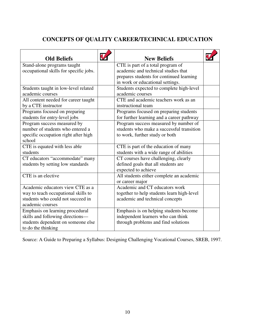## **CONCEPTS OF QUALITY CAREER/TECHNICAL EDUCATION**

| <b>Old Beliefs</b>                     | <b>New Beliefs</b>                         |  |
|----------------------------------------|--------------------------------------------|--|
| Stand-alone programs taught            | CTE is part of a total program of          |  |
| occupational skills for specific jobs. | academic and technical studies that        |  |
|                                        | prepares students for continued learning   |  |
|                                        | in work or educational settings.           |  |
| Students taught in low-level related   | Students expected to complete high-level   |  |
| academic courses                       | academic courses                           |  |
| All content needed for career taught   | CTE and academic teachers work as an       |  |
| by a CTE instructor                    | instructional team                         |  |
| Programs focused on preparing          | Programs focused on preparing students     |  |
| students for entry-level jobs          | for further learning and a career pathway  |  |
| Program success measured by            | Program success measured by number of      |  |
| number of students who entered a       | students who make a successful transition  |  |
| specific occupation right after high   | to work, further study or both             |  |
| school                                 |                                            |  |
| CTE is equated with less able          | CTE is part of the education of many       |  |
| students                               | students with a wide range of abilities    |  |
| CT educators "accommodate" many        | CT courses have challenging, clearly       |  |
| students by setting low standards      | defined goals that all students are        |  |
|                                        | expected to achieve                        |  |
| CTE is an elective                     | All students either complete an academic   |  |
|                                        | or career major                            |  |
| Academic educators view CTE as a       | Academic and CT educators work             |  |
| way to teach occupational skills to    | together to help students learn high-level |  |
| students who could not succeed in      | academic and technical concepts            |  |
| academic courses                       |                                            |  |
| Emphasis on learning procedural        | Emphasis is on helping students become     |  |
| skills and following directions-       | independent learners who can think         |  |
| students dependent on someone else     | through problems and find solutions        |  |
| to do the thinking                     |                                            |  |

Source: A Guide to Preparing a Syllabus: Designing Challenging Vocational Courses, SREB, 1997.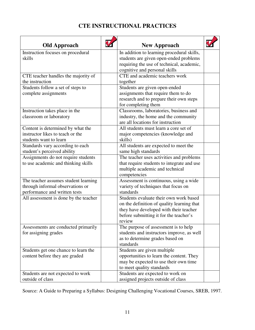## **CTE INSTRUCTIONAL PRACTICES**

| <b>Old Approach</b>                   | <b>New Approach</b>                                                              |  |
|---------------------------------------|----------------------------------------------------------------------------------|--|
| Instruction focuses on procedural     | In addition to learning procedural skills,                                       |  |
| skills                                | students are given open-ended problems                                           |  |
|                                       | requiring the use of technical, academic,                                        |  |
|                                       | cognitive and personal skills                                                    |  |
| CTE teacher handles the majority of   | CTE and academic teachers work                                                   |  |
| the instruction                       | together                                                                         |  |
| Students follow a set of steps to     | Students are given open-ended                                                    |  |
| complete assignments                  | assignments that require them to do                                              |  |
|                                       | research and to prepare their own steps                                          |  |
|                                       | for completing them                                                              |  |
| Instruction takes place in the        | Classrooms, laboratories, business and                                           |  |
| classroom or laboratory               | industry, the home and the community                                             |  |
|                                       | are all locations for instruction                                                |  |
| Content is determined by what the     | All students must learn a core set of                                            |  |
| instructor likes to teach or the      | major competencies (knowledge and                                                |  |
| students want to learn                | skills)                                                                          |  |
| Standards vary according to each      | All students are expected to meet the                                            |  |
| student's perceived ability           | same high standards                                                              |  |
| Assignments do not require students   | The teacher uses activities and problems                                         |  |
| to use academic and thinking skills   | that require students to integrate and use                                       |  |
|                                       | multiple academic and technical                                                  |  |
|                                       | competencies                                                                     |  |
| The teacher assumes student learning  | Assessment is continuous, using a wide                                           |  |
| through informal observations or      | variety of techniques that focus on                                              |  |
| performance and written tests         | standards                                                                        |  |
| All assessment is done by the teacher | Students evaluate their own work based                                           |  |
|                                       | on the definition of quality learning that                                       |  |
|                                       | they have developed with their teacher<br>before submitting it for the teacher's |  |
|                                       | review                                                                           |  |
| Assessments are conducted primarily   | The purpose of assessment is to help                                             |  |
| for assigning grades                  | students and instructors improve, as well                                        |  |
|                                       | as to determine grades based on                                                  |  |
|                                       | standards                                                                        |  |
| Students get one chance to learn the  | Students are given multiple                                                      |  |
| content before they are graded        | opportunities to learn the content. They                                         |  |
|                                       | may be expected to use their own time                                            |  |
|                                       | to meet quality standards                                                        |  |
| Students are not expected to work     | Students are expected to work on                                                 |  |
| outside of class                      | assigned projects outside of class                                               |  |

Source: A Guide to Preparing a Syllabus: Designing Challenging Vocational Courses, SREB, 1997.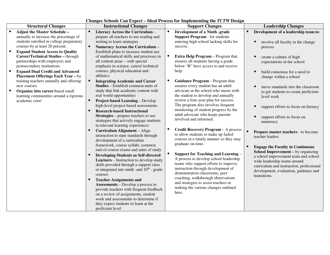| <b>Structural Changes</b>                                                                                                                                                                                                                                                                                                                                                                                                                                                                                                                                       | <b>Instructional Changes</b>                                                                                                                                                                                                                                                                                                                                                                                                                                                                                                                                                                                                                                                                                                                                                                                                                                                                                                                                                                                                                                                                                                                                                                                                                                                                                                                                                                                                                                  | <b>Support Changes</b>                                                                                                                                                                                                                                                                                                                                                                                                                                                                                                                                                                                                                                                                                                                                                                                                                                                                                                                                                                                                                                                                                           | <b>Leadership Changes</b>                                                                                                                                                                                                                                                                                                                                                                                                                                                                                                                                                                                                                                                                                                                              |
|-----------------------------------------------------------------------------------------------------------------------------------------------------------------------------------------------------------------------------------------------------------------------------------------------------------------------------------------------------------------------------------------------------------------------------------------------------------------------------------------------------------------------------------------------------------------|---------------------------------------------------------------------------------------------------------------------------------------------------------------------------------------------------------------------------------------------------------------------------------------------------------------------------------------------------------------------------------------------------------------------------------------------------------------------------------------------------------------------------------------------------------------------------------------------------------------------------------------------------------------------------------------------------------------------------------------------------------------------------------------------------------------------------------------------------------------------------------------------------------------------------------------------------------------------------------------------------------------------------------------------------------------------------------------------------------------------------------------------------------------------------------------------------------------------------------------------------------------------------------------------------------------------------------------------------------------------------------------------------------------------------------------------------------------|------------------------------------------------------------------------------------------------------------------------------------------------------------------------------------------------------------------------------------------------------------------------------------------------------------------------------------------------------------------------------------------------------------------------------------------------------------------------------------------------------------------------------------------------------------------------------------------------------------------------------------------------------------------------------------------------------------------------------------------------------------------------------------------------------------------------------------------------------------------------------------------------------------------------------------------------------------------------------------------------------------------------------------------------------------------------------------------------------------------|--------------------------------------------------------------------------------------------------------------------------------------------------------------------------------------------------------------------------------------------------------------------------------------------------------------------------------------------------------------------------------------------------------------------------------------------------------------------------------------------------------------------------------------------------------------------------------------------------------------------------------------------------------------------------------------------------------------------------------------------------------|
| <b>Adjust the Master Schedule -</b><br>annually to increase the percentage of<br>students enrolled in college preparatory<br>courses by at least 20 percent.<br><b>Expand Student Access to Quality</b><br>Career/Technical Studies - through<br>partnerships with employers and<br>postsecondary institutions<br><b>Expand Dual Credit and Advanced</b><br><b>Placement Offerings Each Year - by</b><br>training teachers annually and offering<br>new courses<br>Organize into career-based small<br>learning communities around a rigorous<br>academic core/ | Literacy Across the Curriculum -<br>prepare all teachers to use reading and<br>writing to learn strategies<br>٠<br>Numeracy Across the Curriculum -<br>Establish plans to increase student use<br>of mathematical skills and processes in<br>all content areas - with special<br>emphasis in science, career/technical<br>courses, physical education and<br>athletics<br><b>Integrating Academic and Career</b><br><b>Studies</b> – Establish common units of<br>study that link academic content with<br>real world opportunities<br>Project-based Learning - Develop<br>high-level project-based assessments<br><b>Research-based Instructional</b><br><b>Strategies</b> – prepare teachers to use<br>strategies that actively engage students<br>in relevant learning experiences<br>Curriculum Alignment - Align<br>instruction to state standards through<br>development of a curriculum<br>framework, course syllabi, common<br>end-of-course exams and units of study<br><b>Developing Students as Self-directed</b><br><b>Learners</b> – Instruction to develop study<br>skills provided through a support class<br>or integrated into ninth - and $10^{th}$ - grade<br>courses<br><b>Teacher Assignments and</b><br><b>Assessments</b> – Develop a process to<br>provide teachers with frequent feedback<br>on a review of assignments, student<br>work and assessments to determine if<br>they expect students to learn at the<br>proficient level | <b>Development of a Ninth -grade</b><br><b>Support Program - for students</b><br>entering high school lacking skills for<br>success.<br><b>Extra Help Program</b> – Program that<br>ensures all students having a grade<br>below "B" have access to and receive<br>help.<br>Guidance Program - Program that<br>ensures every student has an adult<br>advocate at the school who meets with<br>the student to develop and annually<br>review a four-year plan for success.<br>The program also involves frequent<br>monitoring of student progress by the<br>adult advocate who keeps parents<br>involved and informed.<br><b>Credit Recovery Program - A process</b><br>to allow students to make up failed<br>courses in a timely manner so they may<br>graduate on-time.<br><b>Support for Teaching and Learning -</b><br>A process to develop school leadership<br>teams who support efforts to improve<br>instruction through development of<br>demonstration classrooms, peer<br>coaching, walkthrough observations<br>and strategies to assist teachers in<br>making the various changes outlined<br>here. | Development of a leadership team to:<br>٠<br>involve all faculty in the change<br>process<br>create a culture of high<br>expectations in the school<br>build consensus for a need to<br>change within a school<br>move standards into the classroom<br>▪<br>to get students to create proficient-<br>level work<br>support efforts to focus on literacy<br>support efforts to focus on<br>▪<br>numeracy<br>$\blacksquare$<br>Prepare master teachers - to become<br>teacher leaders<br><b>Engage the Faculty in Continuous</b><br>٠<br>School Improvement - by organizing<br>a school improvement team and school<br>wide leadership teams around<br>curriculum and instruction, professional<br>development, evaluation, guidance and<br>transitions. |

#### **Changes Schools Can Expect – Ideal Process for Implementing the** *TCTW* **Design**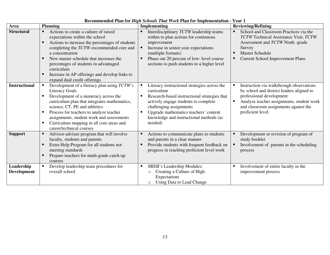| Area                             | <b>Planning</b>                                                                                                                                                                                                                                                                                                                                                                            | <b>Implementing</b>                                                                                                                                                                                                                                                          | <b>Reviewing/Refining</b>                                                                                                                                                                                                    |
|----------------------------------|--------------------------------------------------------------------------------------------------------------------------------------------------------------------------------------------------------------------------------------------------------------------------------------------------------------------------------------------------------------------------------------------|------------------------------------------------------------------------------------------------------------------------------------------------------------------------------------------------------------------------------------------------------------------------------|------------------------------------------------------------------------------------------------------------------------------------------------------------------------------------------------------------------------------|
| <b>Structural</b>                | Actions to create a culture of raised<br>expectations within the school<br>Actions to increase the percentages of students<br>п<br>completing the TCTW-recommended core and<br>a concentration<br>New master schedule that increases the<br>п<br>percentages of students in advantaged<br>curriculum<br>Increase in AP offerings and develop links to<br>п<br>expand dual credit offerings | Interdisciplinary TCTW leadership teams<br>within to plan actions for continuous<br>improvement<br>Increase in senior year expectations<br>(multiple formats)<br>Phase out 20 percent of low- level course<br>sections to push students to a higher level                    | School and Classroom Practices via the<br>TCTW Technical Assistance Visit, TCTW<br>Assessment and TCTW Ninth -grade<br>Survey<br><b>Master Schedule</b><br><b>Current School Improvement Plans</b>                           |
| <b>Instructional</b>             | Development of a literacy plan using TCTW's<br>п<br><b>Literacy Goals</b><br>Development of a numeracy across the<br>п<br>curriculum plan that integrates mathematics,<br>science, CT, PE and athletics<br>Process for teachers to analyze teacher<br>п<br>assignments, student work and assessments<br>Curriculum mapping in all core areas and<br>п<br>career/technical courses          | Literacy instructional strategies across the<br>curriculum<br>Research-based instructional strategies that<br>actively engage students to complete<br>challenging assignments<br>Upgrade mathematics teachers' content<br>knowledge and instructional methods (as<br>needed) | Instruction via walkthrough observations<br>by school and district leaders aligned to<br>professional development<br>Analyze teacher assignments, student work<br>and classroom assignments against the<br>proficient level. |
| <b>Support</b>                   | Advisor-advisee program that will involve<br>п<br>faculty, students and parents<br>Extra Help Program for all students not<br>п<br>meeting standards<br>Prepare teachers for ninth-grade catch-up<br>п<br>courses                                                                                                                                                                          | Actions to communicate plans to students<br>and parents in a clear manner<br>Provide students with frequent feedback on<br>progress in reaching proficient level work                                                                                                        | Development or revision of program of<br>study booklet<br>Involvement of parents in the scheduling<br>process                                                                                                                |
| Leadership<br><b>Development</b> | Develop leadership team procedures for<br>п<br>overall school                                                                                                                                                                                                                                                                                                                              | SREB's Leadership Modules:<br>٠<br>Creating a Culture of High<br>$\circ$<br>Expectations<br>Using Data to Lead Change<br>$\circ$                                                                                                                                             | Involvement of entire faculty in the<br>л<br>improvement process                                                                                                                                                             |

#### **Recommended Plan for** *High Schools That Work* **Plan for Implementation - Year 1**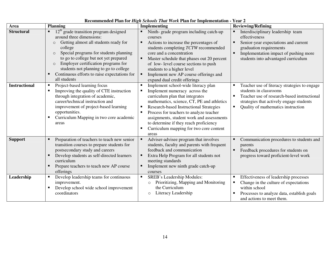| Area                 | <b>Planning</b>                                                                                                                                                                                                                                                                                                                                                                               | кссоннисносо і кін гог тіезн беноову тими туогісті кін гог тіпріснісногоді<br><b>Implementing</b>                                                                                                                                                                                                                                                                                                     | <b>Reviewing/Refining</b>                                                                                                                                                                                                    |
|----------------------|-----------------------------------------------------------------------------------------------------------------------------------------------------------------------------------------------------------------------------------------------------------------------------------------------------------------------------------------------------------------------------------------------|-------------------------------------------------------------------------------------------------------------------------------------------------------------------------------------------------------------------------------------------------------------------------------------------------------------------------------------------------------------------------------------------------------|------------------------------------------------------------------------------------------------------------------------------------------------------------------------------------------------------------------------------|
| <b>Structural</b>    | $12th$ grade transition program designed<br>around three dimensions:<br>Getting almost all students ready for<br>$\circ$<br>college<br>Special programs for students planning<br>$\circ$<br>to go to college but not yet prepared<br>Employer certification programs for<br>$\circ$<br>students not planning to go to college<br>Continuous efforts to raise expectations for<br>all students | Ninth-grade program including catch-up<br>courses<br>Actions to increase the percentages of<br>$\blacksquare$<br>students completing TCTW recommended<br>core and a concentration<br>Master schedule that phases out 20 percent<br>of low-level course sections to push<br>students to a higher level<br>Implement new AP course offerings and<br>expand dual credit offerings                        | Interdisciplinary leadership team<br>effectiveness<br>Senior-year expectations and current<br>٠<br>graduation requirements<br>Implementation impact of pushing more<br>$\blacksquare$<br>students into advantaged curriculum |
| <b>Instructional</b> | Project-based learning focus<br>Improving the quality of CTE instruction<br>through integration of academic,<br>career/technical instruction and<br>improvement of project-based learning<br>opportunities.<br>Curriculum Mapping in two core academic<br>areas                                                                                                                               | Implement school-wide literacy plan<br>Implement numeracy across the<br>٠<br>curriculum plan that integrates<br>mathematics, science, CT, PE and athletics<br>Research-based Instructional Strategies<br>п<br>Process for teachers to analyze teacher<br>assignments, student work and assessments<br>to determine if they reach proficiency<br>Curriculum mapping for two core content<br>п<br>areas | Teacher use of literacy strategies to engage<br>students in classrooms<br>Teacher use of research-based instructional<br>strategies that actively engage students<br>Quality of mathematics instruction<br>$\blacksquare$    |
| <b>Support</b>       | Preparation of teachers to teach new senior<br>transition courses to prepare students for<br>postsecondary study and careers<br>Develop students as self-directed learners<br>curriculum<br>Prepare teachers to teach new AP course<br>offerings                                                                                                                                              | Adviser-advisee program that involves<br>students, faculty and parents with frequent<br>feedback and communication<br>Extra Help Program for all students not<br>meeting standards<br>Implement new ninth grade catch-up<br>courses                                                                                                                                                                   | Communication procedures to students and<br>parents<br>$\blacksquare$<br>Feedback procedures for students on<br>progress toward proficient-level work                                                                        |
| Leadership           | Develop leadership teams for continuous<br>improvement.<br>Develop school wide school improvement<br>coordinators                                                                                                                                                                                                                                                                             | <b>SREB's Leadership Modules:</b><br>$\blacksquare$<br>Prioritizing, Mapping and Monitoring<br>$\circ$<br>the Curriculum<br>Literacy Leadership<br>$\circ$                                                                                                                                                                                                                                            | Effectiveness of leadership processes<br>Change in the culture of expectations<br>within school<br>Processes to analyze data, establish goals<br>and actions to meet them.                                                   |

#### **Recommended Plan for** *High Schools That Work* **Plan for Implementation - Year 2**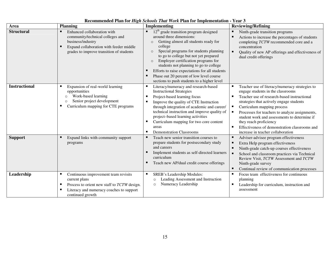| Area                 | <b>Planning</b>                                                                                                                                                                     | несопписнее и выгтот тто, п эспосы тиш ноги на тог ниргенение на<br><b>Implementing</b>                                                                                                                                                                                                                                                                                                                                                                         | <b>Reviewing/Refining</b>                                                                                                                                                                                                                                                                                                                                                                                                           |
|----------------------|-------------------------------------------------------------------------------------------------------------------------------------------------------------------------------------|-----------------------------------------------------------------------------------------------------------------------------------------------------------------------------------------------------------------------------------------------------------------------------------------------------------------------------------------------------------------------------------------------------------------------------------------------------------------|-------------------------------------------------------------------------------------------------------------------------------------------------------------------------------------------------------------------------------------------------------------------------------------------------------------------------------------------------------------------------------------------------------------------------------------|
| <b>Structural</b>    | Enhanced collaboration with<br>community/technical colleges and<br>business/industry<br>Expand collaboration with feeder middle<br>л<br>grades to improve transition of students    | $12th$ grade transition program designed<br>around three dimensions:<br>Getting almost all students ready for<br>college<br>Special programs for students planning<br>$\circ$<br>to go to college but not yet prepared<br>Employer certification programs for<br>$\circ$<br>students not planning to go to college<br>Efforts to raise expectations for all students<br>Phase out 20 percent of low level course<br>sections to push students to a higher level | Ninth-grade transition programs<br>Е<br>Actions to increase the percentages of students<br>completing TCTW recommended core and a<br>concentration<br>Quality of new AP offerings and effectiveness of<br>dual credit offerings                                                                                                                                                                                                     |
| <b>Instructional</b> | л<br>Expansion of real-world learning<br>opportunities<br>Work-based learning<br>$\circ$<br>Senior project development<br>$\circ$<br>Curriculum mapping for CTE programs            | Literacy/numeracy and research-based<br><b>Instructional Strategies</b><br>Project-based learning focus<br>Improve the quality of CTE Instruction<br>through integration of academic and career/<br>technical instruction and improve quality of<br>project-based learning activities<br>Curriculum mapping for two core content<br>areas<br><b>Demonstration Classrooms</b>                                                                                    | Teacher use of literacy/numeracy strategies to<br>engage students in the classrooms<br>Teacher use of research-based instructional<br>strategies that actively engage students<br>Curriculum mapping process<br>Е<br>Processes for teachers to analyze assignments,<br>student work and assessments to determine if<br>they reach proficiency<br>Effectiveness of demonstration classrooms and<br>increase in teacher collaboration |
| <b>Support</b>       | Expand links with community support<br>programs                                                                                                                                     | Teach new senior transition courses to<br>prepare students for postsecondary study<br>and careers<br>Implement students as self-directed learners<br>curriculum<br>Teach new AP/dual credit course offerings                                                                                                                                                                                                                                                    | Adviser-advisee program effectiveness<br>в<br>Extra Help program effectiveness<br>Ninth-grade catch-up courses effectiveness<br>School and classroom practices via Technical<br>Review Visit, TCTW Assessment and TCTW<br>Ninth-grade survey<br>Continual review of communication processes                                                                                                                                         |
| Leadership           | Continuous improvement team revisits<br>п<br>current plans<br>Process to orient new staff to TCTW design.<br>п<br>л<br>Literacy and numeracy coaches to support<br>continued growth | SREB's Leadership Modules:<br>Leading Assessment and Instruction<br>Numeracy Leadership<br>$\circ$                                                                                                                                                                                                                                                                                                                                                              | Focus team effectiveness for continuous<br>п<br>planning<br>Leadership for curriculum, instruction and<br>assessment                                                                                                                                                                                                                                                                                                                |

**Recommended Plan for** *High Schools That Work* **Plan for Implementation - Year 3**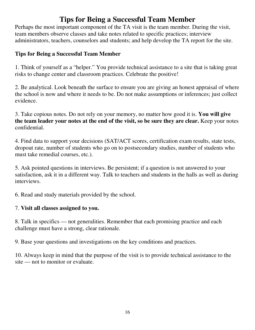# **Tips for Being a Successful Team Member**

Perhaps the most important component of the TA visit is the team member. During the visit, team members observe classes and take notes related to specific practices; interview administrators, teachers, counselors and students; and help develop the TA report for the site.

## **Tips for Being a Successful Team Member**

1. Think of yourself as a "helper." You provide technical assistance to a site that is taking great risks to change center and classroom practices. Celebrate the positive!

2. Be analytical. Look beneath the surface to ensure you are giving an honest appraisal of where the school is now and where it needs to be. Do not make assumptions or inferences; just collect evidence.

3. Take copious notes. Do not rely on your memory, no matter how good it is. **You will give the team leader your notes at the end of the visit, so be sure they are clear.** Keep your notes confidential.

4. Find data to support your decisions (SAT/ACT scores, certification exam results, state tests, dropout rate, number of students who go on to postsecondary studies, number of students who must take remedial courses, etc.).

5. Ask pointed questions in interviews. Be persistent; if a question is not answered to your satisfaction, ask it in a different way. Talk to teachers and students in the halls as well as during interviews.

6. Read and study materials provided by the school.

## 7. **Visit all classes assigned to you.**

8. Talk in specifics — not generalities. Remember that each promising practice and each challenge must have a strong, clear rationale.

9. Base your questions and investigations on the key conditions and practices.

10. Always keep in mind that the purpose of the visit is to provide technical assistance to the site — not to monitor or evaluate.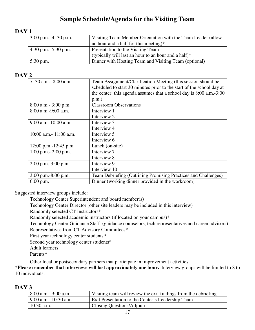## **Sample Schedule/Agenda for the Visiting Team**

## **DAY 1**

| $3:00$ p.m. - 4: 30 p.m. | Visiting Team Member Orientation with the Team Leader (allow |
|--------------------------|--------------------------------------------------------------|
|                          | an hour and a half for this meeting)*                        |
| 4:30 p.m. $-$ 5:30 p.m.  | Presentation to the Visiting Team                            |
|                          | (typically will last an hour to an hour and a half) $*$      |
| 5:30 p.m.                | Dinner with Hosting Team and Visiting Team (optional)        |

## **DAY 2**

| 7: 30 a.m. - 8:00 a.m.     | Team Assignment/Clarification Meeting (this session should be         |  |  |
|----------------------------|-----------------------------------------------------------------------|--|--|
|                            | scheduled to start 30 minutes prior to the start of the school day at |  |  |
|                            | the center; this agenda assumes that a school day is 8:00 a.m.-3:00   |  |  |
|                            | $p.m.$ )                                                              |  |  |
| $8:00$ a.m. $-3:00$ p.m.   | <b>Classroom Observations</b>                                         |  |  |
| 8:00 a.m.-9:00 a.m.        | Interview 1                                                           |  |  |
|                            | Interview 2                                                           |  |  |
| $9:00$ a.m.-10:00 a.m.     | Interview 3                                                           |  |  |
|                            | Interview 4                                                           |  |  |
| $10:00$ a.m.- $11:00$ a.m. | Interview 5                                                           |  |  |
|                            | Interview 6                                                           |  |  |
| $12:00$ p.m.-12:45 p.m.    | Lunch (on-site)                                                       |  |  |
| $1:00$ p.m. $-2:00$ p.m.   | Interview 7                                                           |  |  |
|                            | Interview 8                                                           |  |  |
| $2:00$ p.m.-3:00 p.m.      | Interview 9                                                           |  |  |
|                            | Interview 10                                                          |  |  |
| $3:00$ p.m.-8:00 p.m.      | Team Debriefing (Outlining Promising Practices and Challenges)        |  |  |
| $6:00$ p.m.                | Dinner (working dinner provided in the workroom)                      |  |  |

Suggested interview groups include:

Technology Center Superintendent and board member(s)

Technology Center Director (other site leaders may be included in this interview)

Randomly selected CT Instructors\*

Randomly selected academic instructors (if located on your campus)\*

Technology Center Guidance Staff (guidance counselors, tech representatives and career advisors)

Representatives from CT Advisory Committees\*

First year technology center students\*

Second year technology center students\*

Adult learners

Parents\*

Other local or postsecondary partners that participate in improvement activities

\***Please remember that interviews will last approximately one hour.** Interview groups will be limited to 8 to 10 individuals.

#### **DAY 3**

| $\frac{1}{2}$ 8:00 a.m. - 9:00 a.m. | Visiting team will review the exit findings from the debriefing |
|-------------------------------------|-----------------------------------------------------------------|
| $9:00$ a.m. $10:30$ a.m.            | Exit Presentation to the Center's Leadership Team               |
| $10:30$ a.m.                        | Closing Questions/Adjourn                                       |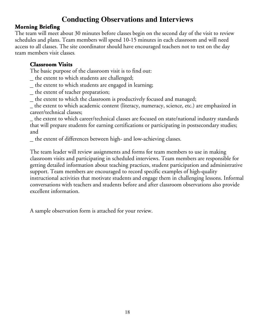# **Conducting Observations and Interviews**

## **Morning Briefing Briefing**

The team will meet about 30 minutes before classes begin on the second day of the visit to review schedules and plans. Team members will spend 10-15 minutes in each classroom and will need access to all classes. The site coordinator should have encouraged teachers not to test on the day team members visit classes.

### **Classroom Visits**

The basic purpose of the classroom visit is to find out:

- \_ the extent to which students are challenged;
- \_ the extent to which students are engaged in learning;
- \_ the extent of teacher preparation;
- \_ the extent to which the classroom is productively focused and managed;

\_ the extent to which academic content (literacy, numeracy, science, etc.) are emphasized in career/technical classes;

\_ the extent to which career/technical classes are focused on state/national industry standards that will prepare students for earning certifications or participating in postsecondary studies; and

\_ the extent of differences between high- and low-achieving classes.

The team leader will review assignments and forms for team members to use in making classroom visits and participating in scheduled interviews. Team members are responsible for getting detailed information about teaching practices, student participation and administrative support. Team members are encouraged to record specific examples of high-quality instructional activities that motivate students and engage them in challenging lessons. Informal conversations with teachers and students before and after classroom observations also provide excellent information.

A sample observation form is attached for your review.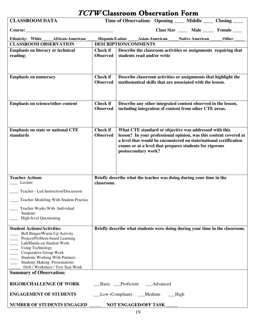| TCTW Classroom Observation Form     |          |
|-------------------------------------|----------|
| Time of Observation: Opening Middle | $\Gamma$ |

| <b>CLASSROOM DATA</b>                                                                                                                                                                                                                                                   |                                    | Time of Observation: Opening ____ Middle ____ Closing ____                                                                                                                                                                                                                         |          |                                          |       |
|-------------------------------------------------------------------------------------------------------------------------------------------------------------------------------------------------------------------------------------------------------------------------|------------------------------------|------------------------------------------------------------------------------------------------------------------------------------------------------------------------------------------------------------------------------------------------------------------------------------|----------|------------------------------------------|-------|
|                                                                                                                                                                                                                                                                         |                                    |                                                                                                                                                                                                                                                                                    |          | Class Size _____ Male _____ Female _____ |       |
| Ethnicity: White<br>African-American                                                                                                                                                                                                                                    |                                    | Hispanic/Latino _______ Asian-American                                                                                                                                                                                                                                             |          | <b>Native American</b>                   | Other |
| <b>CLASSROOM OBSERVATION</b>                                                                                                                                                                                                                                            |                                    | <b>DESCRIPTION/COMMENTS</b>                                                                                                                                                                                                                                                        |          |                                          |       |
| <b>Emphasis on literacy or technical</b><br>reading:                                                                                                                                                                                                                    | <b>Check if</b><br><b>Observed</b> | Describe the classroom activities or assignments requiring that<br>students read and/or write                                                                                                                                                                                      |          |                                          |       |
| <b>Emphasis on numeracy</b>                                                                                                                                                                                                                                             | <b>Check if</b><br><b>Observed</b> | Describe classroom activities or assignments that highlight the<br>mathematical skills that are associated with the lesson.                                                                                                                                                        |          |                                          |       |
| <b>Emphasis on science/other content</b>                                                                                                                                                                                                                                | <b>Check if</b><br><b>Observed</b> | Describe any other integrated content observed in the lesson,<br>including integration of content from other CTE areas.                                                                                                                                                            |          |                                          |       |
| <b>Emphasis on state or national CTE</b><br>standards                                                                                                                                                                                                                   | <b>Check if</b><br><b>Observed</b> | What CTE standard or objective was addressed with this<br>lesson? In your professional opinion, was this content covered at<br>a level that would be encountered on state/national certification<br>exams or at a level that prepares students for rigorous<br>postsecondary work? |          |                                          |       |
| <b>Teacher Actions</b>                                                                                                                                                                                                                                                  |                                    | Briefly describe what the teacher was doing during your time in the                                                                                                                                                                                                                |          |                                          |       |
| Lecture                                                                                                                                                                                                                                                                 | classroom.                         |                                                                                                                                                                                                                                                                                    |          |                                          |       |
| Teacher - Led Instruction/Discussion                                                                                                                                                                                                                                    |                                    |                                                                                                                                                                                                                                                                                    |          |                                          |       |
| Teacher Modeling With Student Practice                                                                                                                                                                                                                                  |                                    |                                                                                                                                                                                                                                                                                    |          |                                          |       |
| Teacher Works With Individual<br><b>Students</b><br><b>High-level Questioning</b>                                                                                                                                                                                       |                                    |                                                                                                                                                                                                                                                                                    |          |                                          |       |
| <b>Student Actions/Activities</b>                                                                                                                                                                                                                                       |                                    | Briefly describe what students were doing during your time in the classroom.                                                                                                                                                                                                       |          |                                          |       |
| Bell Ringer/Warm-Up Activity<br>Project/Problem-based Learning<br>Lab/Hands-on Student Work<br><b>Using Technology</b><br>Cooperative Group Work<br><b>Students Working With Partners</b><br><b>Students Making Presentations</b><br>Drill / Worksheet / Text Seat Work |                                    |                                                                                                                                                                                                                                                                                    |          |                                          |       |
| <b>Summary of Observation:</b>                                                                                                                                                                                                                                          |                                    |                                                                                                                                                                                                                                                                                    |          |                                          |       |
| <b>RIGOR/CHALLENGE OF WORK</b>                                                                                                                                                                                                                                          |                                    | Basic Proficient                                                                                                                                                                                                                                                                   | Advanced |                                          |       |
| <b>ENGAGEMENT OF STUDENTS</b>                                                                                                                                                                                                                                           |                                    | Low (Compliant)<br>Medium                                                                                                                                                                                                                                                          | _High    |                                          |       |

| <b>NUMBER OF STUDENTS ENGAGED</b> | <b>NOT ENGAGED/OFF TASK</b> |  |
|-----------------------------------|-----------------------------|--|
|                                   |                             |  |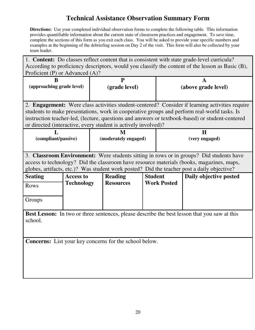# **Technical Assistance Observation Summary Form**

**Directions:** Use your completed individual observation forms to complete the following table. This information provides quantifiable information about the current state of classroom practices and engagement. To save time, complete the sections of this form as you exit each class. You will be asked to provide your specific numbers and examples at the beginning of the debriefing session on Day 2 of the visit. This form will also be collected by your team leader.

| 1. <b>Content:</b> Do classes reflect content that is consistent with state grade-level curricula?<br>According to proficiency descriptors, would you classify the content of the lesson as Basic (B),<br>Proficient (P) or Advanced (A)?                                                                                                                          |                   |                                                        |                |                     |                        |  |  |  |
|--------------------------------------------------------------------------------------------------------------------------------------------------------------------------------------------------------------------------------------------------------------------------------------------------------------------------------------------------------------------|-------------------|--------------------------------------------------------|----------------|---------------------|------------------------|--|--|--|
| B<br>(approaching grade level)                                                                                                                                                                                                                                                                                                                                     |                   | $\mathbf{P}$                                           |                | A                   |                        |  |  |  |
|                                                                                                                                                                                                                                                                                                                                                                    |                   | (grade level)                                          |                | (above grade level) |                        |  |  |  |
| 2. Engagement: Were class activities student-centered? Consider if learning activities require<br>students to make presentations, work in cooperative groups and perform real-world tasks. Is<br>instruction teacher-led, (lecture, questions and answers or textbook-based) or student-centered<br>or directed (interactive, every student is actively involved)? |                   |                                                        |                |                     |                        |  |  |  |
| $\mathbf{L}$<br>(compliant/passive)                                                                                                                                                                                                                                                                                                                                |                   | M<br>(moderately engaged)                              |                | H<br>(very engaged) |                        |  |  |  |
| 3. Classroom Environment: Were students sitting in rows or in groups? Did students have<br>access to technology? Did the classroom have resource materials (books, magazines, maps,<br>globes, artifacts, etc.)? Was student work posted? Did the teacher post a daily objective?                                                                                  |                   |                                                        |                |                     |                        |  |  |  |
| <b>Seating</b>                                                                                                                                                                                                                                                                                                                                                     | <b>Access to</b>  | <b>Reading</b>                                         | <b>Student</b> |                     | Daily objective posted |  |  |  |
| Rows                                                                                                                                                                                                                                                                                                                                                               | <b>Technology</b> | <b>Resources</b>                                       |                | <b>Work Posted</b>  |                        |  |  |  |
| Groups                                                                                                                                                                                                                                                                                                                                                             |                   |                                                        |                |                     |                        |  |  |  |
| Best Lesson: In two or three sentences, please describe the best lesson that you saw at this<br>school.                                                                                                                                                                                                                                                            |                   |                                                        |                |                     |                        |  |  |  |
|                                                                                                                                                                                                                                                                                                                                                                    |                   | Concerns: List your key concerns for the school below. |                |                     |                        |  |  |  |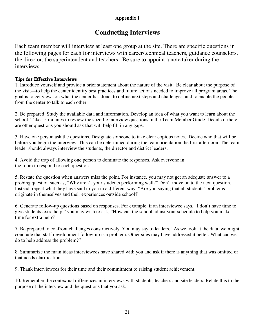### **Appendix I**

## **Conducting Interviews**

Each team member will interview at least one group at the site. There are specific questions in the following pages for each for interviews with career/technical teachers, guidance counselors, the director, the superintendent and teachers. Be sure to appoint a note taker during the interviews.

#### **Tips for Effective Interviews**

1. Introduce yourself and provide a brief statement about the nature of the visit. Be clear about the purpose of the visit—to help the center identify best practices and future actions needed to improve all program areas. The goal is to get views on what the center has done, to define next steps and challenges, and to enable the people from the center to talk to each other.

2. Be prepared. Study the available data and information. Develop an idea of what you want to learn about the school. Take 15 minutes to review the specific interview questions in the Team Member Guide. Decide if there are other questions you should ask that will help fill in any gaps.

3. Have one person ask the questions. Designate someone to take clear copious notes. Decide who that will be before you begin the interview. This can be determined during the team orientation the first afternoon. The team leader should always interview the students, the director and district leaders.

4. Avoid the trap of allowing one person to dominate the responses. Ask everyone in the room to respond to each question.

5. Restate the question when answers miss the point. For instance, you may not get an adequate answer to a probing question such as, "Why aren't your students performing well?" Don't move on to the next question. Instead, repeat what they have said to you in a different way: "Are you saying that all students' problems originate in themselves and their experiences outside school?"

6. Generate follow-up questions based on responses. For example, if an interviewee says, "I don't have time to give students extra help," you may wish to ask, "How can the school adjust your schedule to help you make time for extra help?"

7. Be prepared to confront challenges constructively. You may say to leaders, "As we look at the data, we might conclude that staff development follow-up is a problem. Other sites may have addressed it better. What can we do to help address the problem?"

8. Summarize the main ideas interviewees have shared with you and ask if there is anything that was omitted or that needs clarification.

9. Thank interviewees for their time and their commitment to raising student achievement.

10. Remember the contextual differences in interviews with students, teachers and site leaders. Relate this to the purpose of the interview and the questions that you ask.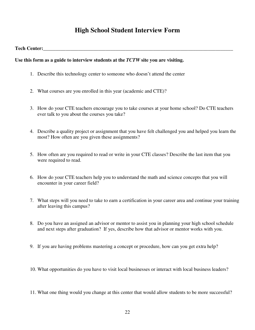## **High School Student Interview Form**

#### **Tech Center:**

#### **Use this form as a guide to interview students at the** *TCTW* **site you are visiting.**

- 1. Describe this technology center to someone who doesn't attend the center
- 2. What courses are you enrolled in this year (academic and CTE)?
- 3. How do your CTE teachers encourage you to take courses at your home school? Do CTE teachers ever talk to you about the courses you take?
- 4. Describe a quality project or assignment that you have felt challenged you and helped you learn the most? How often are you given these assignments?
- 5. How often are you required to read or write in your CTE classes? Describe the last item that you were required to read.
- 6. How do your CTE teachers help you to understand the math and science concepts that you will encounter in your career field?
- 7. What steps will you need to take to earn a certification in your career area and continue your training after leaving this campus?
- 8. Do you have an assigned an advisor or mentor to assist you in planning your high school schedule and next steps after graduation? If yes, describe how that advisor or mentor works with you.
- 9. If you are having problems mastering a concept or procedure, how can you get extra help?
- 10. What opportunities do you have to visit local businesses or interact with local business leaders?
- 11. What one thing would you change at this center that would allow students to be more successful?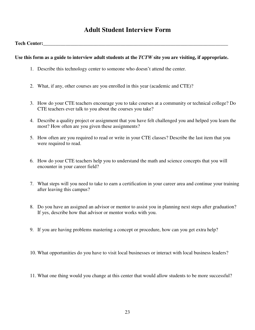## **Adult Student Interview Form**

#### **Tech Center:**

#### **Use this form as a guide to interview adult students at the** *TCTW* **site you are visiting, if appropriate.**

- 1. Describe this technology center to someone who doesn't attend the center.
- 2. What, if any, other courses are you enrolled in this year (academic and CTE)?
- 3. How do your CTE teachers encourage you to take courses at a community or technical college? Do CTE teachers ever talk to you about the courses you take?
- 4. Describe a quality project or assignment that you have felt challenged you and helped you learn the most? How often are you given these assignments?
- 5. How often are you required to read or write in your CTE classes? Describe the last item that you were required to read.
- 6. How do your CTE teachers help you to understand the math and science concepts that you will encounter in your career field?
- 7. What steps will you need to take to earn a certification in your career area and continue your training after leaving this campus?
- 8. Do you have an assigned an advisor or mentor to assist you in planning next steps after graduation? If yes, describe how that advisor or mentor works with you.
- 9. If you are having problems mastering a concept or procedure, how can you get extra help?

10. What opportunities do you have to visit local businesses or interact with local business leaders?

11. What one thing would you change at this center that would allow students to be more successful?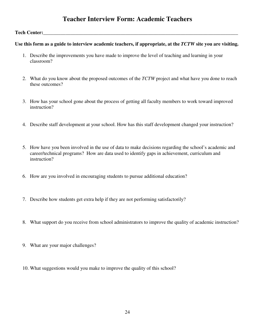## **Teacher Interview Form: Academic Teachers**

#### Tech Center:

#### **Use this form as a guide to interview academic teachers, if appropriate, at the** *TCTW* **site you are visiting.**

- 1. Describe the improvements you have made to improve the level of teaching and learning in your classroom?
- 2. What do you know about the proposed outcomes of the *TCTW* project and what have you done to reach these outcomes?
- 3. How has your school gone about the process of getting all faculty members to work toward improved instruction?
- 4. Describe staff development at your school. How has this staff development changed your instruction?
- 5. How have you been involved in the use of data to make decisions regarding the school's academic and career/technical programs? How are data used to identify gaps in achievement, curriculum and instruction?
- 6. How are you involved in encouraging students to pursue additional education?
- 7. Describe how students get extra help if they are not performing satisfactorily?
- 8. What support do you receive from school administrators to improve the quality of academic instruction?
- 9. What are your major challenges?
- 10. What suggestions would you make to improve the quality of this school?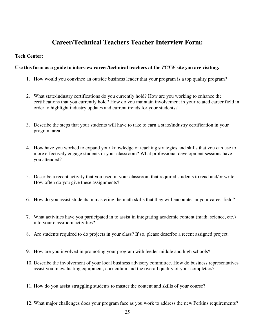## **Career/Technical Teachers Teacher Interview Form:**

#### **Tech Center:**

#### **Use this form as a guide to interview career/technical teachers at the** *TCTW* **site you are visiting.**

- 1. How would you convince an outside business leader that your program is a top quality program?
- 2. What state/industry certifications do you currently hold? How are you working to enhance the certifications that you currently hold? How do you maintain involvement in your related career field in order to highlight industry updates and current trends for your students?
- 3. Describe the steps that your students will have to take to earn a state/industry certification in your program area.
- 4. How have you worked to expand your knowledge of teaching strategies and skills that you can use to more effectively engage students in your classroom? What professional development sessions have you attended?
- 5. Describe a recent activity that you used in your classroom that required students to read and/or write. How often do you give these assignments?
- 6. How do you assist students in mastering the math skills that they will encounter in your career field?
- 7. What activities have you participated in to assist in integrating academic content (math, science, etc.) into your classroom activities?
- 8. Are students required to do projects in your class? If so, please describe a recent assigned project.
- 9. How are you involved in promoting your program with feeder middle and high schools?
- 10. Describe the involvement of your local business advisory committee. How do business representatives assist you in evaluating equipment, curriculum and the overall quality of your completers?
- 11. How do you assist struggling students to master the content and skills of your course?
- 12. What major challenges does your program face as you work to address the new Perkins requirements?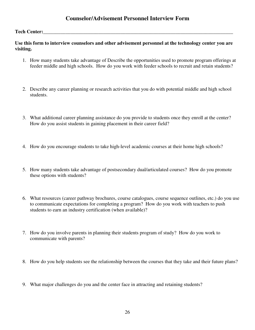### **Counselor/Advisement Personnel Interview Form**

#### **Tech Center:\_\_\_\_\_\_\_\_\_\_\_\_\_\_\_\_\_\_\_\_\_\_\_\_\_\_\_\_\_\_\_\_\_\_\_\_\_\_\_\_\_\_\_\_\_\_\_\_\_\_\_\_\_\_\_\_\_\_\_\_\_\_\_\_\_\_\_\_\_\_\_\_\_\_\_\_**

#### **Use this form to interview counselors and other advisement personnel at the technology center you are visiting.**

- 1. How many students take advantage of Describe the opportunities used to promote program offerings at feeder middle and high schools. How do you work with feeder schools to recruit and retain students?
- 2. Describe any career planning or research activities that you do with potential middle and high school students.
- 3. What additional career planning assistance do you provide to students once they enroll at the center? How do you assist students in gaining placement in their career field?
- 4. How do you encourage students to take high-level academic courses at their home high schools?
- 5. How many students take advantage of postsecondary dual/articulated courses? How do you promote these options with students?
- 6. What resources (career pathway brochures, course catalogues, course sequence outlines, etc.) do you use to communicate expectations for completing a program? How do you work with teachers to push students to earn an industry certification (when available)?
- 7. How do you involve parents in planning their students program of study? How do you work to communicate with parents?
- 8. How do you help students see the relationship between the courses that they take and their future plans?
- 9. What major challenges do you and the center face in attracting and retaining students?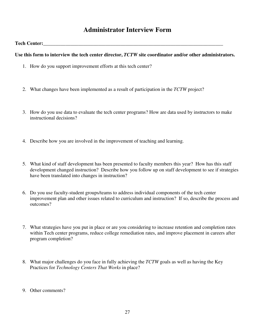## **Administrator Interview Form**

#### **Tech Center:**

#### Use this form to interview the tech center director, *TCTW* site coordinator and/or other administrators.

- 1. How do you support improvement efforts at this tech center?
- 2. What changes have been implemented as a result of participation in the *TCTW* project?
- 3. How do you use data to evaluate the tech center programs? How are data used by instructors to make instructional decisions?
- 4. Describe how you are involved in the improvement of teaching and learning.
- 5. What kind of staff development has been presented to faculty members this year? How has this staff development changed instruction? Describe how you follow up on staff development to see if strategies have been translated into changes in instruction?
- 6. Do you use faculty-student groups/teams to address individual components of the tech center improvement plan and other issues related to curriculum and instruction? If so, describe the process and outcomes?
- 7. What strategies have you put in place or are you considering to increase retention and completion rates within Tech center programs, reduce college remediation rates, and improve placement in careers after program completion?
- 8. What major challenges do you face in fully achieving the *TCTW* goals as well as having the Key Practices for *Technology Centers That Works* in place?
- 9. Other comments?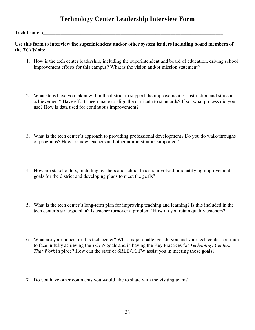## **Technology Center Leadership Interview Form**

#### Tech Center:

**Use this form to interview the superintendent and/or other system leaders including board members of the** *TCTW* **site.** 

- 1. How is the tech center leadership, including the superintendent and board of education, driving school improvement efforts for this campus? What is the vision and/or mission statement?
- 2. What steps have you taken within the district to support the improvement of instruction and student achievement? Have efforts been made to align the curricula to standards? If so, what process did you use? How is data used for continuous improvement?
- 3. What is the tech center's approach to providing professional development? Do you do walk-throughs of programs? How are new teachers and other administrators supported?
- 4. How are stakeholders, including teachers and school leaders, involved in identifying improvement goals for the district and developing plans to meet the goals?
- 5. What is the tech center's long-term plan for improving teaching and learning? Is this included in the tech center's strategic plan? Is teacher turnover a problem? How do you retain quality teachers?
- 6. What are your hopes for this tech center? What major challenges do you and your tech center continue to face in fully achieving the *TCTW* goals and in having the Key Practices for *Technology Centers That Work* in place? How can the staff of SREB/TCTW assist you in meeting those goals?
- 7. Do you have other comments you would like to share with the visiting team?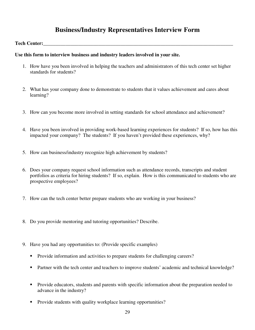## **Business/Industry Representatives Interview Form**

#### **Tech Center:**

#### **Use this form to interview business and industry leaders involved in your site.**

- 1. How have you been involved in helping the teachers and administrators of this tech center set higher standards for students?
- 2. What has your company done to demonstrate to students that it values achievement and cares about learning?
- 3. How can you become more involved in setting standards for school attendance and achievement?
- 4. Have you been involved in providing work-based learning experiences for students? If so, how has this impacted your company? The students? If you haven't provided these experiences, why?
- 5. How can business/industry recognize high achievement by students?
- 6. Does your company request school information such as attendance records, transcripts and student portfolios as criteria for hiring students? If so, explain. How is this communicated to students who are prospective employees?
- 7. How can the tech center better prepare students who are working in your business?
- 8. Do you provide mentoring and tutoring opportunities? Describe.
- 9. Have you had any opportunities to: (Provide specific examples)
	- Provide information and activities to prepare students for challenging careers?
	- Partner with the tech center and teachers to improve students' academic and technical knowledge?
	- Provide educators, students and parents with specific information about the preparation needed to advance in the industry?
	- Provide students with quality workplace learning opportunities?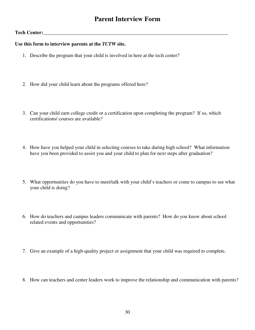## **Parent Interview Form**

#### Tech Center:

#### **Use this form to interview parents at the** *TCTW* **site.**

- 1. Describe the program that your child is involved in here at the tech center?
- 2. How did your child learn about the programs offered here?
- 3. Can your child earn college credit or a certification upon completing the program? If so, which certifications/ courses are available?
- 4. How have you helped your child in selecting courses to take during high school? What information have you been provided to assist you and your child to plan for next steps after graduation?
- 5. What opportunities do you have to meet/talk with your child's teachers or come to campus to see what your child is doing?
- 6. How do teachers and campus leaders communicate with parents? How do you know about school related events and opportunities?
- 7. Give an example of a high-quality project or assignment that your child was required to complete.
- 8. How can teachers and center leaders work to improve the relationship and communication with parents?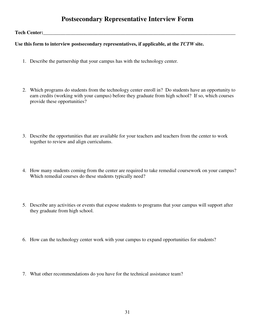## **Postsecondary Representative Interview Form**

#### Tech Center:

#### **Use this form to interview postsecondary representatives, if applicable, at the** *TCTW* **site.**

- 1. Describe the partnership that your campus has with the technology center.
- 2. Which programs do students from the technology center enroll in? Do students have an opportunity to earn credits (working with your campus) before they graduate from high school? If so, which courses provide these opportunities?
- 3. Describe the opportunities that are available for your teachers and teachers from the center to work together to review and align curriculums.
- 4. How many students coming from the center are required to take remedial coursework on your campus? Which remedial courses do these students typically need?
- 5. Describe any activities or events that expose students to programs that your campus will support after they graduate from high school.
- 6. How can the technology center work with your campus to expand opportunities for students?
- 7. What other recommendations do you have for the technical assistance team?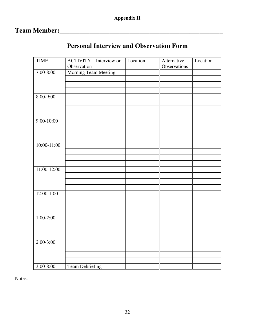# **Team Member:\_\_\_\_\_\_\_\_\_\_\_\_\_\_\_\_\_\_\_\_\_\_\_\_\_\_\_\_\_\_\_\_\_\_\_\_\_\_\_\_\_\_\_\_\_\_\_\_\_**

| <b>TIME</b>     | ACTIVITY-Interview or  | Location | Alternative  | Location |
|-----------------|------------------------|----------|--------------|----------|
|                 | Observation            |          | Observations |          |
| $7:00 - 8:00$   | Morning Team Meeting   |          |              |          |
|                 |                        |          |              |          |
|                 |                        |          |              |          |
|                 |                        |          |              |          |
| $8:00 - 9:00$   |                        |          |              |          |
|                 |                        |          |              |          |
|                 |                        |          |              |          |
|                 |                        |          |              |          |
| $9:00-10:00$    |                        |          |              |          |
|                 |                        |          |              |          |
|                 |                        |          |              |          |
|                 |                        |          |              |          |
| $10:00 - 11:00$ |                        |          |              |          |
|                 |                        |          |              |          |
|                 |                        |          |              |          |
|                 |                        |          |              |          |
|                 |                        |          |              |          |
| $11:00-12:00$   |                        |          |              |          |
|                 |                        |          |              |          |
|                 |                        |          |              |          |
|                 |                        |          |              |          |
| $12:00-1:00$    |                        |          |              |          |
|                 |                        |          |              |          |
|                 |                        |          |              |          |
|                 |                        |          |              |          |
| $1:00-2:00$     |                        |          |              |          |
|                 |                        |          |              |          |
|                 |                        |          |              |          |
|                 |                        |          |              |          |
| $2:00-3:00$     |                        |          |              |          |
|                 |                        |          |              |          |
|                 |                        |          |              |          |
|                 |                        |          |              |          |
|                 |                        |          |              |          |
| $3:00 - 8:00$   | <b>Team Debriefing</b> |          |              |          |

# **Personal Interview and Observation Form**

Notes: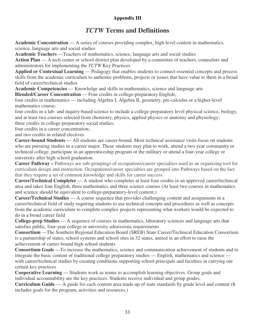## **Appendix III**

## *TCTW* **Terms and Definitions**

**Academic Concentration** — A series of courses providing complex, high-level content in mathematics, science, language arts and social studies

**Academic Teachers** —Teachers of mathematics, science, language arts and social studies

Action Plan — A tech center or school district plan developed by a committee of teachers, counselors and administrators for implementing the *TCTW* Key Practices

**Applied or Contextual Learning** — Pedagogy that enables students to connect essential concepts and process skills from the academic curriculum to authentic problems, projects or issues that have value to them in a broad field of career/technical studies

**Academic Competencies** — Knowledge and skills in mathematics, science and language arts

**Blended/Career Concentration** — Four credits in college-preparatory English;

four credits in mathematics — including Algebra I, Algebra II, geometry, pre-calculus or a higher-level mathematics course;

four credits in a lab- and inquiry-based science to include a college-preparatory level physical science, biology, and at least two courses selected from chemistry, physics, applied physics or anatomy and physiology; three credits in college-preparatory social studies;

four credits in a career concentration;

and two credits in related electives

**Career-bound Students** — All students are career-bound. Most technical assistance visits focus on students who are pursuing studies in a career major. These students may plan to work, attend a two year community or technical college, participate in an apprenticeship program or the military or attend a four-year college or university after high school graduation.

**Career Pathway –** Pathways are sub-groupings of occupations/career specialties used as an organizing tool for curriculum design and instruction. Occupations/career specialties are grouped into Pathways based on the fact that they require a set of common knowledge and skills for career success.

**Career/Technical Completer** — A student who completes at least four credits in an approved career/technical area and takes four English, three mathematics and three science courses (At least two courses in mathematics and science should be equivalent to college-preparatory-level content.)

**Career/Technical Studies** — A course sequence that provides challenging content and assignments in a career/technical field of study requiring students to use technical concepts and procedures as well as concepts from the academic curriculum to complete complex projects representing what workers would be expected to do in a broad career field

**College-prep Studies** — A sequence of courses in mathematics, laboratory sciences and language arts that satisfies public, four-year college or university admissions requirements

**Consortium** —The Southern Regional Education Board (SREB) State Career/Technical Education Consortium is a partnership of states, school systems and school sites in 32 states, united in an effort to raise the achievement of career-bound high school students

**Consortium Goals** —To increase the mathematics, science and communication achievement of students and to integrate the basic content of traditional college preparatory studies — English, mathematics and science with career/technical studies by creating conditions supporting school principals and faculties in carrying out certain key practices

**Cooperative Learning** — Students work as teams to accomplish learning objectives. Group goals and individual accountability are the key practices. Students receive individual and group grades.

**Curriculum Guide** — A guide for each content area made up of state standards by grade level and content (It includes goals for the program, activities and resources.)